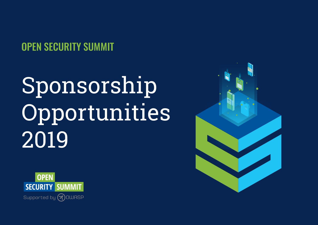OPEN SECURITY SUMMIT

# Sponsorship Opportunities 2019



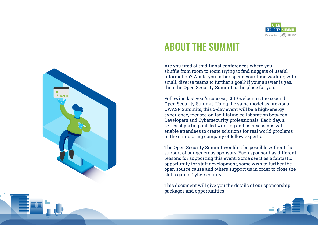![](_page_1_Picture_0.jpeg)

## ABOUT THE SUMMIT

Are you tired of traditional conferences where you shuffle from room to room trying to find nuggets of useful information? Would you rather spend your time working with small, diverse teams to further a goal? If your answer is yes, then the Open Security Summit is the place for you.

Following last year's success, 2019 welcomes the second Open Security Summit. Using the same model as previous OWASP Summits, this 5-day event will be a high-energy experience, focused on facilitating collaboration between Developers and Cybersecurity professionals. Each day, a series of participant-led working and user sessions will enable attendees to create solutions for real world problems in the stimulating company of fellow experts.

The Open Security Summit wouldn't be possible without the support of our generous sponsors. Each sponsor has different reasons for supporting this event. Some see it as a fantastic opportunity for staff development, some wish to further the open source cause and others support us in order to close the skills gap in Cybersecurity.

This document will give you the details of our sponsorship packages and opportunities.

![](_page_1_Figure_6.jpeg)

![](_page_1_Picture_7.jpeg)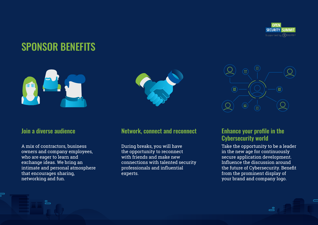![](_page_2_Picture_0.jpeg)

## SPONSOR BENEFITS

![](_page_2_Picture_2.jpeg)

#### Join a diverse audience

A mix of contractors, business owners and company employees, who are eager to learn and exchange ideas. We bring an intimate and personal atmosphere that encourages sharing, networking and fun.

![](_page_2_Picture_5.jpeg)

#### Network, connect and reconnect

During breaks, you will have the opportunity to reconnect with friends and make new connections with talented security professionals and influential experts.

![](_page_2_Picture_8.jpeg)

#### Enhance your profile in the Cybersecurity world

Take the opportunity to be a leader in the new age for continuously secure application development. Influence the discussion around the future of Cybersecurity. Benefit from the prominent display of your brand and company logo.

ക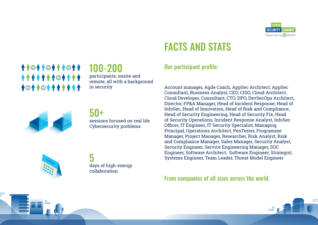![](_page_3_Picture_0.jpeg)

## FACTS AND STATS

### Our participant profile:

Account manager, Agile Coach, AppSec Architect, AppSec Consultant, Business Analyst, CEO, CISO, Cloud Architect, Cloud Developer, Consultant, CTO, DPO, DevSecOps Architect, Director, FP&A Manager, Head of Incident Response, Head of InfoSec, Head of Innovation, Head of Risk and Compliance, Head of Security Engineering, Head of Security Fix, Head of Security Operations, Incident Response Analyst, InfoSec Officer, IT Engineer, IT Security Specialist, Managing Principal, Operations Architect, PenTester, Programme Manager, Project Manager, Researcher, Risk Analyst, Risk and Compliance Manager, Sales Manager, Security Analyst, Security Engineer, Service Engineering Manager, SOC Engineer, Software Architect, Software Engineer, Strategist, Systems Engineer, Team Leader, Threat Model Engineer

From companies of all sizes across the world.

![](_page_3_Picture_5.jpeg)

*↑↑***◎↑↑◎↑↑**●↑↑ 100-200 \*\*\*\*\*\*\*\*\*\*\* participants, onsite and remote, all with a background **+©++©++++++** in security

![](_page_3_Picture_7.jpeg)

#### 50+ sessions focused on real life Cybersecurity problems

![](_page_3_Picture_9.jpeg)

5 days of high-energy collaboration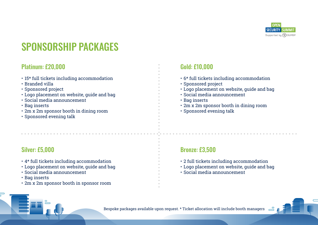![](_page_4_Picture_0.jpeg)

## SPONSORSHIP PACKAGES

#### Platinum: £20,000

- 15\* full tickets including accommodation
- Branded villa
- Sponsored project
- Logo placement on website, guide and bag
- Social media announcement
- Bag inserts
- 2m x 2m sponsor booth in dining room
- Sponsored evening talk

### Silver: £5,000

- 4\* full tickets including accommodation
- Logo placement on website, guide and bag
- Social media announcement
- Bag inserts
- 2m x 2m sponsor booth in sponsor room

#### Gold: £10,000

- 6\* full tickets including accommodation
- Sponsored project
- Logo placement on website, guide and bag
- Social media announcement
- Bag inserts
- 2m x 2m sponsor booth in dining room
- Sponsored evening talk

#### Bronze: £3,500

- 2 full tickets including accommodation
- Logo placement on website, guide and bag
- Social media announcement

![](_page_4_Picture_29.jpeg)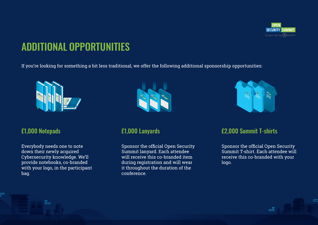![](_page_5_Picture_0.jpeg)

## ADDITIONAL OPPORTUNITIES

If you're looking for something a bit less traditional, we offer the following additional sponsorship opportunities:

![](_page_5_Picture_3.jpeg)

#### £1,000 Notepads

Everybody needs one to note down their newly acquired Cybersecurity knowledge. We'll provide notebooks, co-branded with your logo, in the participant bag.

௨

![](_page_5_Picture_6.jpeg)

#### £1,000 Lanyards

Sponsor the official Open Security Summit lanyard. Each attendee will receive this co-branded item during registration and will wear it throughout the duration of the conference.

![](_page_5_Picture_9.jpeg)

#### £2,000 Summit T-shirts

Sponsor the official Open Security Summit T-shirt. Each attendee will receive this co-branded with your logo.

ക്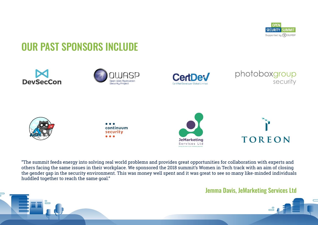![](_page_6_Picture_0.jpeg)

## OUR PAST SPONSORS INCLUDE

![](_page_6_Picture_2.jpeg)

![](_page_6_Picture_3.jpeg)

![](_page_6_Picture_4.jpeg)

![](_page_6_Picture_5.jpeg)

![](_page_6_Picture_6.jpeg)

![](_page_6_Picture_7.jpeg)

![](_page_6_Picture_8.jpeg)

![](_page_6_Picture_9.jpeg)

"The summit feeds energy into solving real world problems and provides great opportunities for collaboration with experts and others facing the same issues in their workplace. We sponsored the 2018 summit's Women in Tech track with an aim of closing the gender gap in the security environment. This was money well spent and it was great to see so many like-minded individuals huddled together to reach the same goal."

#### Jemma Davis, JeMarketing Services Ltd

![](_page_6_Picture_12.jpeg)